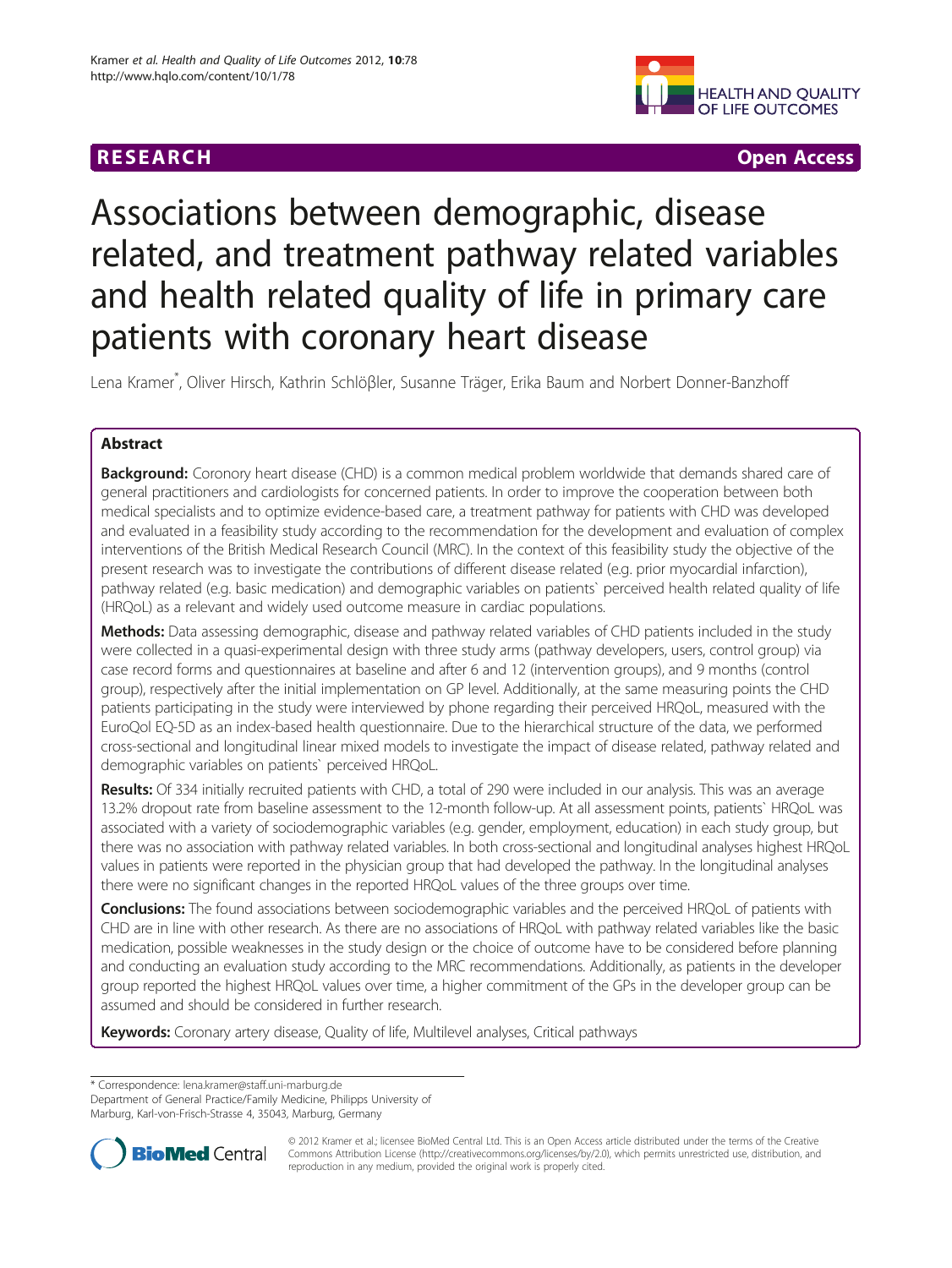## **RESEARCH CHINESE ARCH CHINESE ARCH CHINESE ARCH <b>CHINESE ARCH**



# Associations between demographic, disease related, and treatment pathway related variables and health related quality of life in primary care patients with coronary heart disease

Lena Kramer\* , Oliver Hirsch, Kathrin Schlöβler, Susanne Träger, Erika Baum and Norbert Donner-Banzhoff

## Abstract

**Background:** Coronory heart disease (CHD) is a common medical problem worldwide that demands shared care of general practitioners and cardiologists for concerned patients. In order to improve the cooperation between both medical specialists and to optimize evidence-based care, a treatment pathway for patients with CHD was developed and evaluated in a feasibility study according to the recommendation for the development and evaluation of complex interventions of the British Medical Research Council (MRC). In the context of this feasibility study the objective of the present research was to investigate the contributions of different disease related (e.g. prior myocardial infarction), pathway related (e.g. basic medication) and demographic variables on patients` perceived health related quality of life (HRQoL) as a relevant and widely used outcome measure in cardiac populations.

Methods: Data assessing demographic, disease and pathway related variables of CHD patients included in the study were collected in a quasi-experimental design with three study arms (pathway developers, users, control group) via case record forms and questionnaires at baseline and after 6 and 12 (intervention groups), and 9 months (control group), respectively after the initial implementation on GP level. Additionally, at the same measuring points the CHD patients participating in the study were interviewed by phone regarding their perceived HRQoL, measured with the EuroQol EQ-5D as an index-based health questionnaire. Due to the hierarchical structure of the data, we performed cross-sectional and longitudinal linear mixed models to investigate the impact of disease related, pathway related and demographic variables on patients` perceived HRQoL.

Results: Of 334 initially recruited patients with CHD, a total of 290 were included in our analysis. This was an average 13.2% dropout rate from baseline assessment to the 12-month follow-up. At all assessment points, patients` HRQoL was associated with a variety of sociodemographic variables (e.g. gender, employment, education) in each study group, but there was no association with pathway related variables. In both cross-sectional and longitudinal analyses highest HRQoL values in patients were reported in the physician group that had developed the pathway. In the longitudinal analyses there were no significant changes in the reported HRQoL values of the three groups over time.

Conclusions: The found associations between sociodemographic variables and the perceived HRQoL of patients with CHD are in line with other research. As there are no associations of HRQoL with pathway related variables like the basic medication, possible weaknesses in the study design or the choice of outcome have to be considered before planning and conducting an evaluation study according to the MRC recommendations. Additionally, as patients in the developer group reported the highest HRQoL values over time, a higher commitment of the GPs in the developer group can be assumed and should be considered in further research.

Keywords: Coronary artery disease, Quality of life, Multilevel analyses, Critical pathways

\* Correspondence: [lena.kramer@staff.uni-marburg.de](mailto:lena.kramer@staff.uni-marburg.de)

Marburg, Karl-von-Frisch-Strasse 4, 35043, Marburg, Germany



© 2012 Kramer et al.; licensee BioMed Central Ltd. This is an Open Access article distributed under the terms of the Creative Commons Attribution License [\(http://creativecommons.org/licenses/by/2.0\)](http://creativecommons.org/licenses/by/2.0), which permits unrestricted use, distribution, and reproduction in any medium, provided the original work is properly cited.

Department of General Practice/Family Medicine, Philipps University of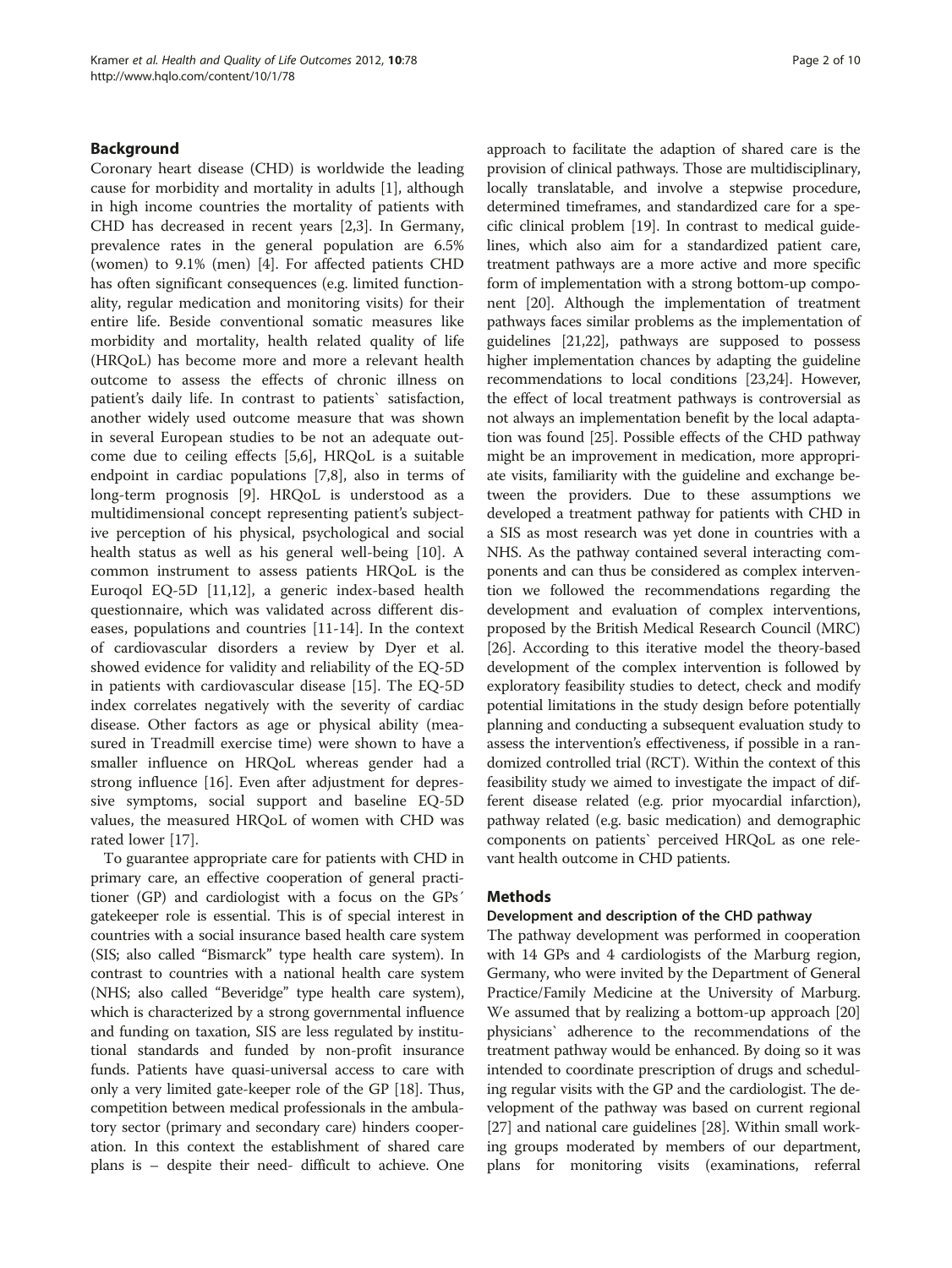#### Background

Coronary heart disease (CHD) is worldwide the leading cause for morbidity and mortality in adults [\[1](#page-8-0)], although in high income countries the mortality of patients with CHD has decreased in recent years [[2,3\]](#page-8-0). In Germany, prevalence rates in the general population are 6.5% (women) to 9.1% (men) [\[4](#page-8-0)]. For affected patients CHD has often significant consequences (e.g. limited functionality, regular medication and monitoring visits) for their entire life. Beside conventional somatic measures like morbidity and mortality, health related quality of life (HRQoL) has become more and more a relevant health outcome to assess the effects of chronic illness on patient's daily life. In contrast to patients` satisfaction, another widely used outcome measure that was shown in several European studies to be not an adequate outcome due to ceiling effects [[5,6\]](#page-8-0), HRQoL is a suitable endpoint in cardiac populations [[7,8\]](#page-8-0), also in terms of long-term prognosis [\[9](#page-8-0)]. HRQoL is understood as a multidimensional concept representing patient's subjective perception of his physical, psychological and social health status as well as his general well-being [[10](#page-8-0)]. A common instrument to assess patients HRQoL is the Euroqol EQ-5D [[11](#page-8-0),[12](#page-8-0)], a generic index-based health questionnaire, which was validated across different diseases, populations and countries [[11-14\]](#page-8-0). In the context of cardiovascular disorders a review by Dyer et al. showed evidence for validity and reliability of the EQ-5D in patients with cardiovascular disease [\[15](#page-8-0)]. The EQ-5D index correlates negatively with the severity of cardiac disease. Other factors as age or physical ability (measured in Treadmill exercise time) were shown to have a smaller influence on HRQoL whereas gender had a strong influence [[16](#page-8-0)]. Even after adjustment for depressive symptoms, social support and baseline EQ-5D values, the measured HRQoL of women with CHD was rated lower [\[17\]](#page-8-0).

To guarantee appropriate care for patients with CHD in primary care, an effective cooperation of general practitioner (GP) and cardiologist with a focus on the GPs´ gatekeeper role is essential. This is of special interest in countries with a social insurance based health care system (SIS; also called "Bismarck" type health care system). In contrast to countries with a national health care system (NHS; also called "Beveridge" type health care system), which is characterized by a strong governmental influence and funding on taxation, SIS are less regulated by institutional standards and funded by non-profit insurance funds. Patients have quasi-universal access to care with only a very limited gate-keeper role of the GP [[18](#page-8-0)]. Thus, competition between medical professionals in the ambulatory sector (primary and secondary care) hinders cooperation. In this context the establishment of shared care plans is – despite their need- difficult to achieve. One

approach to facilitate the adaption of shared care is the provision of clinical pathways. Those are multidisciplinary, locally translatable, and involve a stepwise procedure, determined timeframes, and standardized care for a specific clinical problem [\[19\]](#page-9-0). In contrast to medical guidelines, which also aim for a standardized patient care, treatment pathways are a more active and more specific form of implementation with a strong bottom-up component [\[20\]](#page-9-0). Although the implementation of treatment pathways faces similar problems as the implementation of guidelines [[21,22\]](#page-9-0), pathways are supposed to possess higher implementation chances by adapting the guideline recommendations to local conditions [[23,24\]](#page-9-0). However, the effect of local treatment pathways is controversial as not always an implementation benefit by the local adaptation was found [[25](#page-9-0)]. Possible effects of the CHD pathway might be an improvement in medication, more appropriate visits, familiarity with the guideline and exchange between the providers. Due to these assumptions we developed a treatment pathway for patients with CHD in a SIS as most research was yet done in countries with a NHS. As the pathway contained several interacting components and can thus be considered as complex intervention we followed the recommendations regarding the development and evaluation of complex interventions, proposed by the British Medical Research Council (MRC) [[26](#page-9-0)]. According to this iterative model the theory-based development of the complex intervention is followed by exploratory feasibility studies to detect, check and modify potential limitations in the study design before potentially planning and conducting a subsequent evaluation study to assess the intervention's effectiveness, if possible in a randomized controlled trial (RCT). Within the context of this feasibility study we aimed to investigate the impact of different disease related (e.g. prior myocardial infarction), pathway related (e.g. basic medication) and demographic components on patients` perceived HRQoL as one relevant health outcome in CHD patients.

## Methods

#### Development and description of the CHD pathway

The pathway development was performed in cooperation with 14 GPs and 4 cardiologists of the Marburg region, Germany, who were invited by the Department of General Practice/Family Medicine at the University of Marburg. We assumed that by realizing a bottom-up approach [[20](#page-9-0)] physicians` adherence to the recommendations of the treatment pathway would be enhanced. By doing so it was intended to coordinate prescription of drugs and scheduling regular visits with the GP and the cardiologist. The development of the pathway was based on current regional [[27](#page-9-0)] and national care guidelines [\[28\]](#page-9-0). Within small working groups moderated by members of our department, plans for monitoring visits (examinations, referral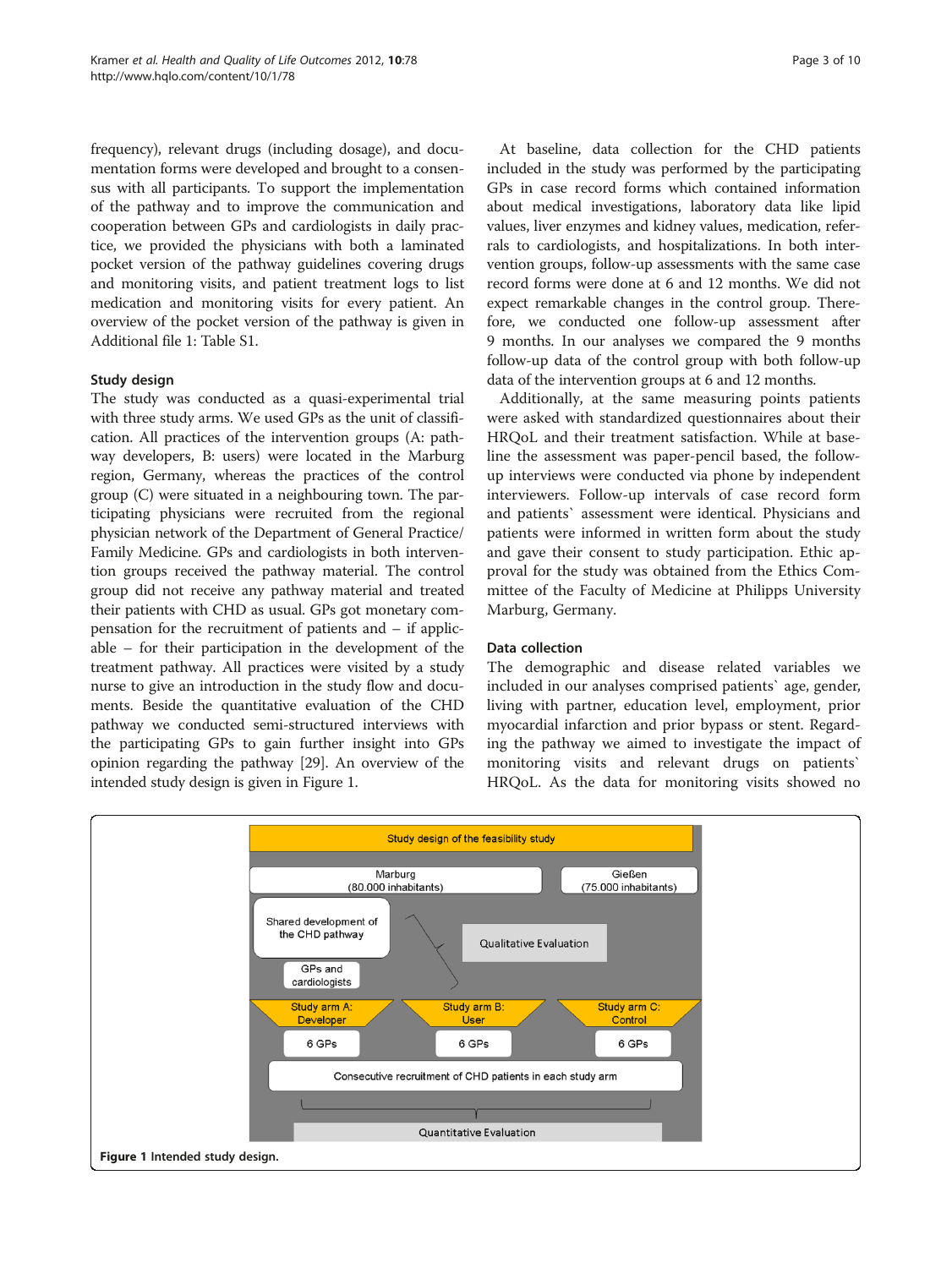frequency), relevant drugs (including dosage), and documentation forms were developed and brought to a consensus with all participants. To support the implementation of the pathway and to improve the communication and cooperation between GPs and cardiologists in daily practice, we provided the physicians with both a laminated pocket version of the pathway guidelines covering drugs and monitoring visits, and patient treatment logs to list medication and monitoring visits for every patient. An overview of the pocket version of the pathway is given in Additional file [1](#page-8-0): Table S1.

#### Study design

The study was conducted as a quasi-experimental trial with three study arms. We used GPs as the unit of classification. All practices of the intervention groups (A: pathway developers, B: users) were located in the Marburg region, Germany, whereas the practices of the control group (C) were situated in a neighbouring town. The participating physicians were recruited from the regional physician network of the Department of General Practice/ Family Medicine. GPs and cardiologists in both intervention groups received the pathway material. The control group did not receive any pathway material and treated their patients with CHD as usual. GPs got monetary compensation for the recruitment of patients and – if applicable – for their participation in the development of the treatment pathway. All practices were visited by a study nurse to give an introduction in the study flow and documents. Beside the quantitative evaluation of the CHD pathway we conducted semi-structured interviews with the participating GPs to gain further insight into GPs opinion regarding the pathway [[29](#page-9-0)]. An overview of the intended study design is given in Figure 1.

At baseline, data collection for the CHD patients included in the study was performed by the participating GPs in case record forms which contained information about medical investigations, laboratory data like lipid values, liver enzymes and kidney values, medication, referrals to cardiologists, and hospitalizations. In both intervention groups, follow-up assessments with the same case record forms were done at 6 and 12 months. We did not expect remarkable changes in the control group. Therefore, we conducted one follow-up assessment after 9 months. In our analyses we compared the 9 months follow-up data of the control group with both follow-up data of the intervention groups at 6 and 12 months.

Additionally, at the same measuring points patients were asked with standardized questionnaires about their HRQoL and their treatment satisfaction. While at baseline the assessment was paper-pencil based, the followup interviews were conducted via phone by independent interviewers. Follow-up intervals of case record form and patients` assessment were identical. Physicians and patients were informed in written form about the study and gave their consent to study participation. Ethic approval for the study was obtained from the Ethics Committee of the Faculty of Medicine at Philipps University Marburg, Germany.

#### Data collection

The demographic and disease related variables we included in our analyses comprised patients` age, gender, living with partner, education level, employment, prior myocardial infarction and prior bypass or stent. Regarding the pathway we aimed to investigate the impact of monitoring visits and relevant drugs on patients` HRQoL. As the data for monitoring visits showed no

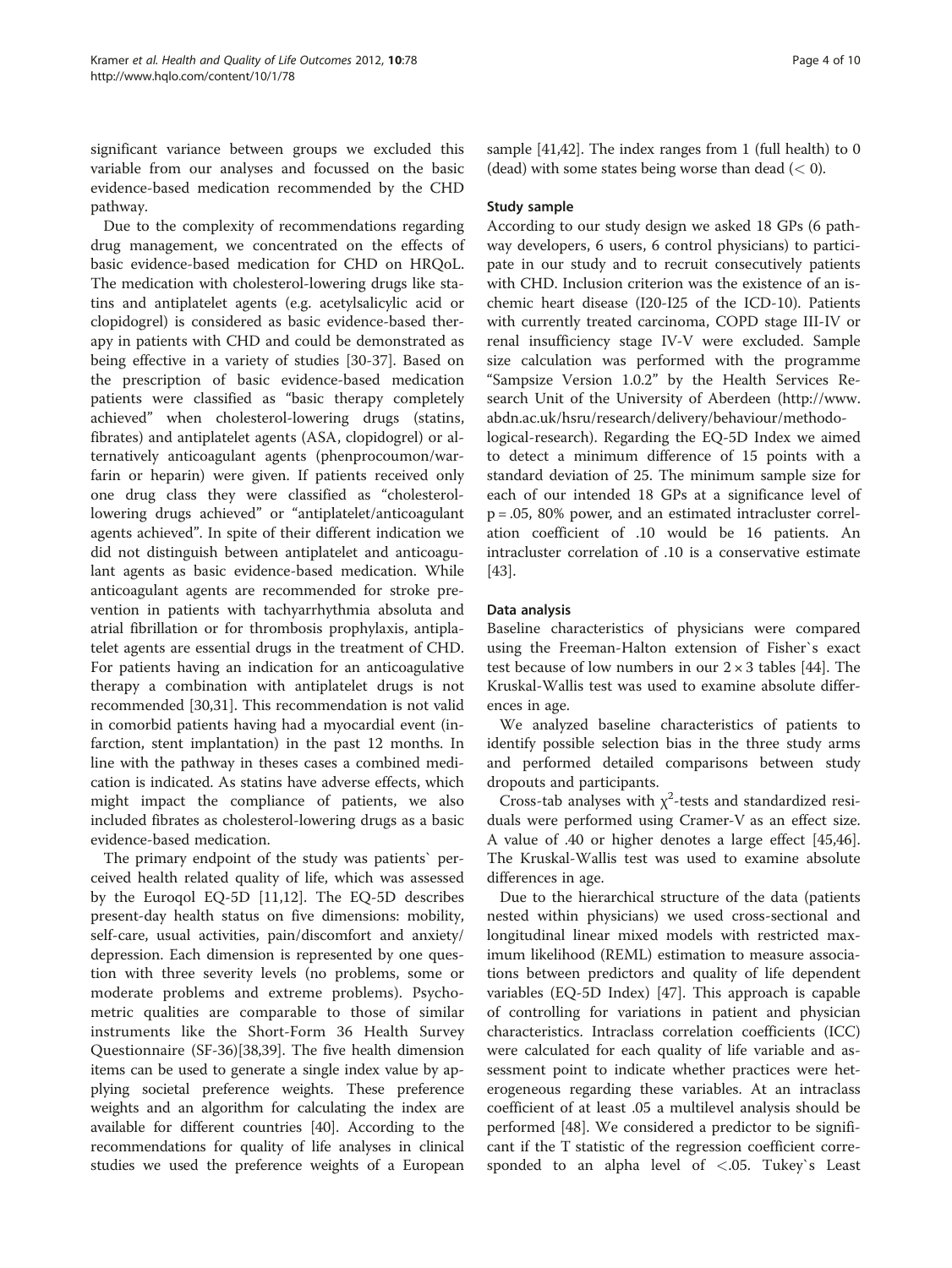significant variance between groups we excluded this variable from our analyses and focussed on the basic evidence-based medication recommended by the CHD pathway.

Due to the complexity of recommendations regarding drug management, we concentrated on the effects of basic evidence-based medication for CHD on HRQoL. The medication with cholesterol-lowering drugs like statins and antiplatelet agents (e.g. acetylsalicylic acid or clopidogrel) is considered as basic evidence-based therapy in patients with CHD and could be demonstrated as being effective in a variety of studies [[30](#page-9-0)-[37\]](#page-9-0). Based on the prescription of basic evidence-based medication patients were classified as "basic therapy completely achieved" when cholesterol-lowering drugs (statins, fibrates) and antiplatelet agents (ASA, clopidogrel) or alternatively anticoagulant agents (phenprocoumon/warfarin or heparin) were given. If patients received only one drug class they were classified as "cholesterollowering drugs achieved" or "antiplatelet/anticoagulant agents achieved". In spite of their different indication we did not distinguish between antiplatelet and anticoagulant agents as basic evidence-based medication. While anticoagulant agents are recommended for stroke prevention in patients with tachyarrhythmia absoluta and atrial fibrillation or for thrombosis prophylaxis, antiplatelet agents are essential drugs in the treatment of CHD. For patients having an indication for an anticoagulative therapy a combination with antiplatelet drugs is not recommended [[30](#page-9-0),[31](#page-9-0)]. This recommendation is not valid in comorbid patients having had a myocardial event (infarction, stent implantation) in the past 12 months. In line with the pathway in theses cases a combined medication is indicated. As statins have adverse effects, which might impact the compliance of patients, we also included fibrates as cholesterol-lowering drugs as a basic evidence-based medication.

The primary endpoint of the study was patients` perceived health related quality of life, which was assessed by the Euroqol EQ-5D [\[11,12\]](#page-8-0). The EQ-5D describes present-day health status on five dimensions: mobility, self-care, usual activities, pain/discomfort and anxiety/ depression. Each dimension is represented by one question with three severity levels (no problems, some or moderate problems and extreme problems). Psychometric qualities are comparable to those of similar instruments like the Short-Form 36 Health Survey Questionnaire (SF-36)[\[38,39](#page-9-0)]. The five health dimension items can be used to generate a single index value by applying societal preference weights. These preference weights and an algorithm for calculating the index are available for different countries [\[40\]](#page-9-0). According to the recommendations for quality of life analyses in clinical studies we used the preference weights of a European sample [[41,42](#page-9-0)]. The index ranges from 1 (full health) to 0 (dead) with some states being worse than dead  $(< 0$ ).

#### Study sample

According to our study design we asked 18 GPs (6 pathway developers, 6 users, 6 control physicians) to participate in our study and to recruit consecutively patients with CHD. Inclusion criterion was the existence of an ischemic heart disease (I20-I25 of the ICD-10). Patients with currently treated carcinoma, COPD stage III-IV or renal insufficiency stage IV-V were excluded. Sample size calculation was performed with the programme "Sampsize Version 1.0.2" by the Health Services Research Unit of the University of Aberdeen ([http://www.](http://www.abdn.ac.uk/hsru/research/delivery/behaviour/methodological-research) [abdn.ac.uk/hsru/research/delivery/behaviour/methodo-](http://www.abdn.ac.uk/hsru/research/delivery/behaviour/methodological-research)

[logical-research\)](http://www.abdn.ac.uk/hsru/research/delivery/behaviour/methodological-research). Regarding the EQ-5D Index we aimed to detect a minimum difference of 15 points with a standard deviation of 25. The minimum sample size for each of our intended 18 GPs at a significance level of p = .05, 80% power, and an estimated intracluster correlation coefficient of .10 would be 16 patients. An intracluster correlation of .10 is a conservative estimate [[43\]](#page-9-0).

#### Data analysis

Baseline characteristics of physicians were compared using the Freeman-Halton extension of Fisher`s exact test because of low numbers in our  $2 \times 3$  tables [\[44](#page-9-0)]. The Kruskal-Wallis test was used to examine absolute differences in age.

We analyzed baseline characteristics of patients to identify possible selection bias in the three study arms and performed detailed comparisons between study dropouts and participants.

Cross-tab analyses with  $\chi^2$ -tests and standardized residuals were performed using Cramer-V as an effect size. A value of .40 or higher denotes a large effect [\[45,46](#page-9-0)]. The Kruskal-Wallis test was used to examine absolute differences in age.

Due to the hierarchical structure of the data (patients nested within physicians) we used cross-sectional and longitudinal linear mixed models with restricted maximum likelihood (REML) estimation to measure associations between predictors and quality of life dependent variables (EQ-5D Index) [\[47\]](#page-9-0). This approach is capable of controlling for variations in patient and physician characteristics. Intraclass correlation coefficients (ICC) were calculated for each quality of life variable and assessment point to indicate whether practices were heterogeneous regarding these variables. At an intraclass coefficient of at least .05 a multilevel analysis should be performed [[48\]](#page-9-0). We considered a predictor to be significant if the T statistic of the regression coefficient corresponded to an alpha level of <.05. Tukey`s Least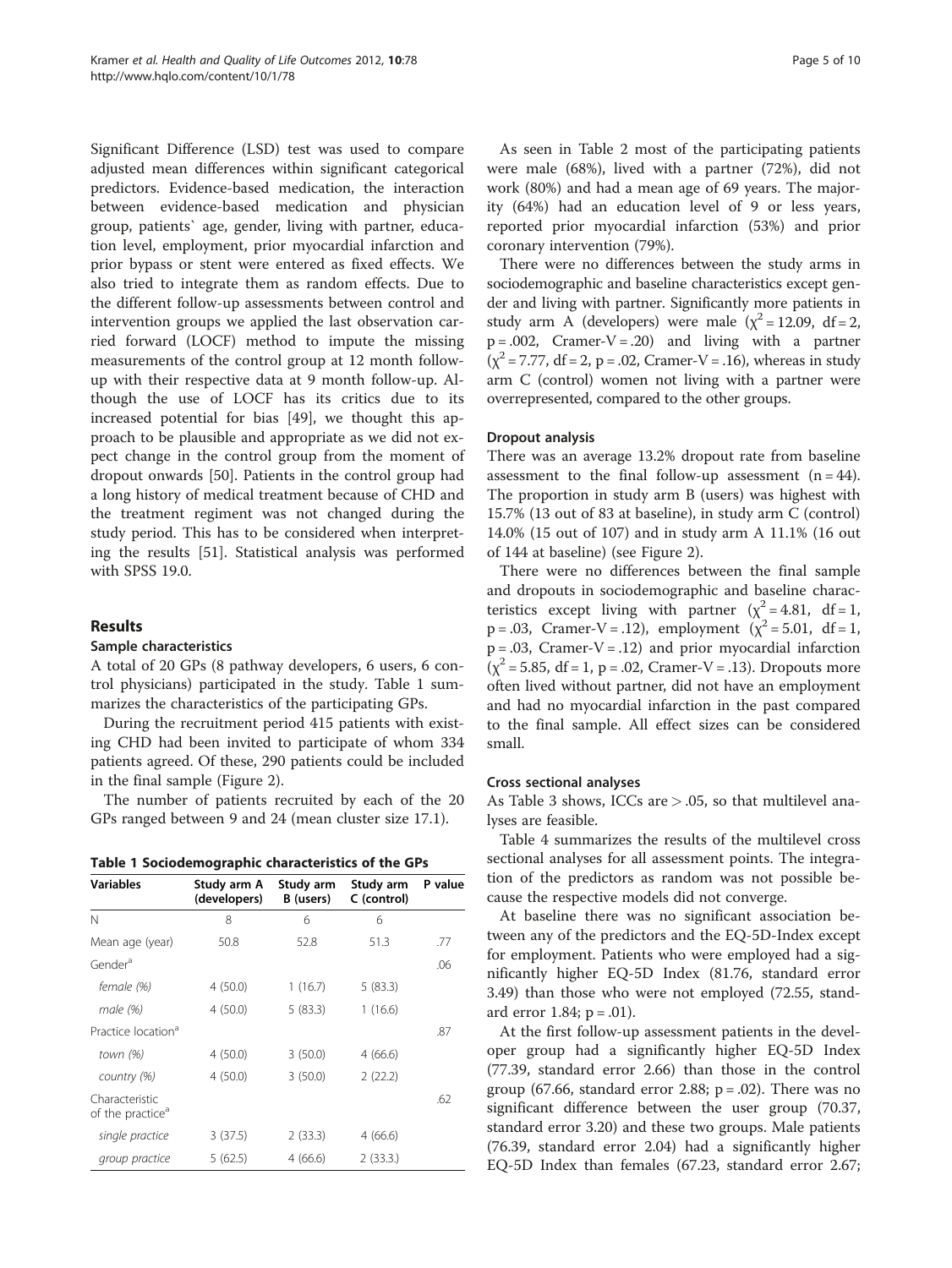Significant Difference (LSD) test was used to compare adjusted mean differences within significant categorical predictors. Evidence-based medication, the interaction between evidence-based medication and physician group, patients` age, gender, living with partner, education level, employment, prior myocardial infarction and prior bypass or stent were entered as fixed effects. We also tried to integrate them as random effects. Due to the different follow-up assessments between control and intervention groups we applied the last observation carried forward (LOCF) method to impute the missing measurements of the control group at 12 month followup with their respective data at 9 month follow-up. Although the use of LOCF has its critics due to its increased potential for bias [[49\]](#page-9-0), we thought this approach to be plausible and appropriate as we did not expect change in the control group from the moment of dropout onwards [[50\]](#page-9-0). Patients in the control group had a long history of medical treatment because of CHD and the treatment regiment was not changed during the study period. This has to be considered when interpreting the results [\[51\]](#page-9-0). Statistical analysis was performed with SPSS 19.0.

#### Results

#### Sample characteristics

A total of 20 GPs (8 pathway developers, 6 users, 6 control physicians) participated in the study. Table 1 summarizes the characteristics of the participating GPs.

During the recruitment period 415 patients with existing CHD had been invited to participate of whom 334 patients agreed. Of these, 290 patients could be included in the final sample (Figure [2](#page-5-0)).

The number of patients recruited by each of the 20 GPs ranged between 9 and 24 (mean cluster size 17.1).

|  |  | Table 1 Sociodemographic characteristics of the GPs |  |  |  |
|--|--|-----------------------------------------------------|--|--|--|
|--|--|-----------------------------------------------------|--|--|--|

| Variables                                      | Study arm A<br>(developers) | Study arm<br>B (users) | Study arm<br>C (control) | P value |
|------------------------------------------------|-----------------------------|------------------------|--------------------------|---------|
| N                                              | 8                           | 6                      | 6                        |         |
| Mean age (year)                                | 50.8                        | 52.8                   | 51.3                     | .77     |
| Gender <sup>a</sup>                            |                             |                        |                          | .06     |
| female (%)                                     | 4(50.0)                     | 1(16.7)                | 5(83.3)                  |         |
| male (%)                                       | 4(50.0)                     | 5(83.3)                | 1(16.6)                  |         |
| Practice location <sup>a</sup>                 |                             |                        |                          | .87     |
| town (%)                                       | 4(50.0)                     | 3(50.0)                | 4(66.6)                  |         |
| country (%)                                    | 4(50.0)                     | 3(50.0)                | 2(22.2)                  |         |
| Characteristic<br>of the practice <sup>a</sup> |                             |                        |                          | .62     |
| single practice                                | 3(37.5)                     | 2(33.3)                | 4(66.6)                  |         |
| group practice                                 | 5(62.5)                     | 4(66.6)                | 2(33.3)                  |         |

As seen in Table [2](#page-6-0) most of the participating patients were male (68%), lived with a partner (72%), did not work (80%) and had a mean age of 69 years. The majority (64%) had an education level of 9 or less years, reported prior myocardial infarction (53%) and prior coronary intervention (79%).

There were no differences between the study arms in sociodemographic and baseline characteristics except gender and living with partner. Significantly more patients in study arm A (developers) were male ( $\chi^2$  = 12.09, df = 2,  $p = .002$ , Cramer-V = .20) and living with a partner  $(\chi^2 = 7.77, df = 2, p = .02, Cramer-V = .16)$ , whereas in study arm C (control) women not living with a partner were overrepresented, compared to the other groups.

#### Dropout analysis

There was an average 13.2% dropout rate from baseline assessment to the final follow-up assessment  $(n = 44)$ . The proportion in study arm B (users) was highest with 15.7% (13 out of 83 at baseline), in study arm C (control) 14.0% (15 out of 107) and in study arm A 11.1% (16 out of 144 at baseline) (see Figure [2\)](#page-5-0).

There were no differences between the final sample and dropouts in sociodemographic and baseline characteristics except living with partner  $(\chi^2 = 4.81, df = 1,$ p = .03, Cramer-V = .12), employment  $(\chi^2 = 5.01, df = 1,$  $p = .03$ , Cramer-V = .12) and prior myocardial infarction  $(x^2 = 5.85, df = 1, p = .02, Cramer-V = .13)$ . Dropouts more often lived without partner, did not have an employment and had no myocardial infarction in the past compared to the final sample. All effect sizes can be considered small.

#### Cross sectional analyses

As Table [3](#page-6-0) shows, ICCs are > .05, so that multilevel analyses are feasible.

Table [4](#page-6-0) summarizes the results of the multilevel cross sectional analyses for all assessment points. The integration of the predictors as random was not possible because the respective models did not converge.

At baseline there was no significant association between any of the predictors and the EQ-5D-Index except for employment. Patients who were employed had a significantly higher EQ-5D Index (81.76, standard error 3.49) than those who were not employed (72.55, standard error 1.84;  $p = .01$ ).

At the first follow-up assessment patients in the developer group had a significantly higher EQ-5D Index (77.39, standard error 2.66) than those in the control group (67.66, standard error 2.88;  $p = .02$ ). There was no significant difference between the user group (70.37, standard error 3.20) and these two groups. Male patients (76.39, standard error 2.04) had a significantly higher EQ-5D Index than females (67.23, standard error 2.67;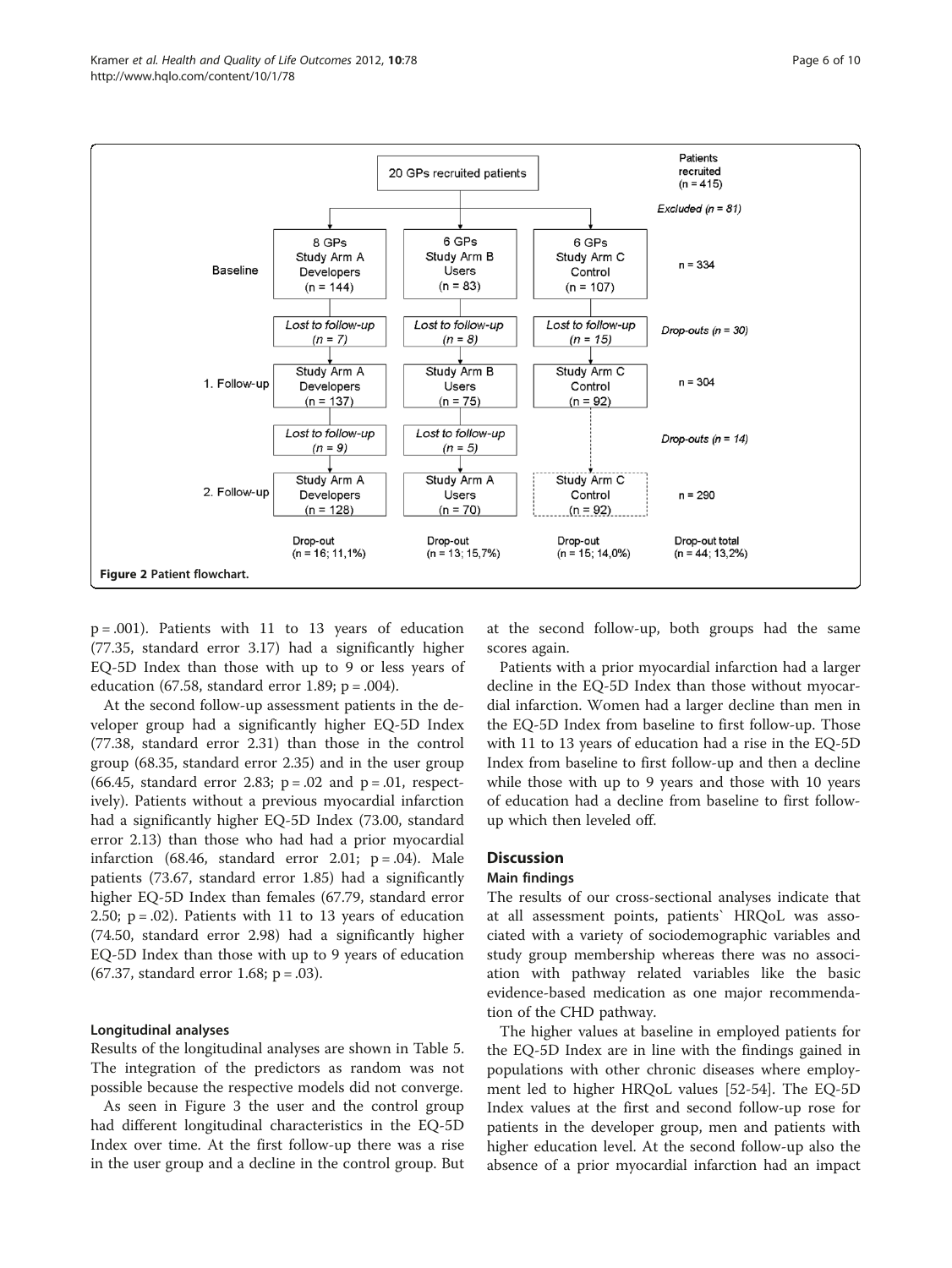<span id="page-5-0"></span>

 $p = .001$ ). Patients with 11 to 13 years of education (77.35, standard error 3.17) had a significantly higher EQ-5D Index than those with up to 9 or less years of education (67.58, standard error 1.89;  $p = .004$ ).

At the second follow-up assessment patients in the developer group had a significantly higher EQ-5D Index (77.38, standard error 2.31) than those in the control group (68.35, standard error 2.35) and in the user group (66.45, standard error 2.83;  $p = .02$  and  $p = .01$ , respectively). Patients without a previous myocardial infarction had a significantly higher EQ-5D Index (73.00, standard error 2.13) than those who had had a prior myocardial infarction (68.46, standard error 2.01;  $p = .04$ ). Male patients (73.67, standard error 1.85) had a significantly higher EQ-5D Index than females (67.79, standard error 2.50;  $p = .02$ ). Patients with 11 to 13 years of education (74.50, standard error 2.98) had a significantly higher EQ-5D Index than those with up to 9 years of education (67.37, standard error 1.68; p = .03).

#### Longitudinal analyses

Results of the longitudinal analyses are shown in Table [5](#page-7-0). The integration of the predictors as random was not possible because the respective models did not converge.

As seen in Figure [3](#page-7-0) the user and the control group had different longitudinal characteristics in the EQ-5D Index over time. At the first follow-up there was a rise in the user group and a decline in the control group. But

at the second follow-up, both groups had the same scores again.

Patients with a prior myocardial infarction had a larger decline in the EQ-5D Index than those without myocardial infarction. Women had a larger decline than men in the EQ-5D Index from baseline to first follow-up. Those with 11 to 13 years of education had a rise in the EQ-5D Index from baseline to first follow-up and then a decline while those with up to 9 years and those with 10 years of education had a decline from baseline to first followup which then leveled off.

#### **Discussion**

#### Main findings

The results of our cross-sectional analyses indicate that at all assessment points, patients` HRQoL was associated with a variety of sociodemographic variables and study group membership whereas there was no association with pathway related variables like the basic evidence-based medication as one major recommendation of the CHD pathway.

The higher values at baseline in employed patients for the EQ-5D Index are in line with the findings gained in populations with other chronic diseases where employment led to higher HRQoL values [[52-54](#page-9-0)]. The EQ-5D Index values at the first and second follow-up rose for patients in the developer group, men and patients with higher education level. At the second follow-up also the absence of a prior myocardial infarction had an impact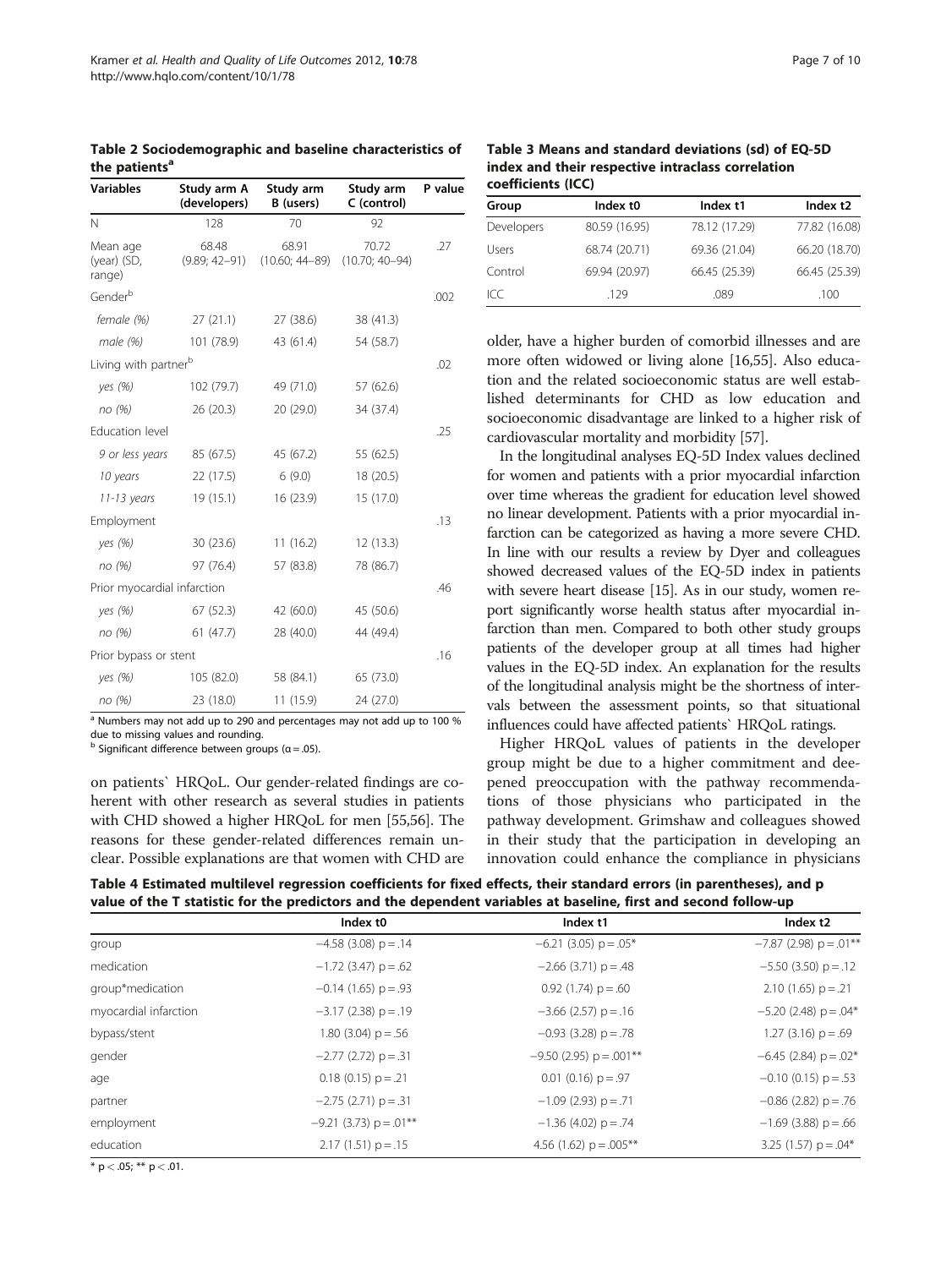<span id="page-6-0"></span>Table 2 Sociodemographic and baseline characteristics of the patients<sup>a</sup>

| <b>Variables</b>                  | Study arm A<br>(developers) | Study arm<br>B (users)      | Study arm<br>C (control)    | P value |
|-----------------------------------|-----------------------------|-----------------------------|-----------------------------|---------|
| N                                 | 128                         | 70                          | 92                          |         |
| Mean age<br>(year) (SD,<br>range) | 68.48<br>$(9.89; 42 - 91)$  | 68.91<br>$(10.60; 44 - 89)$ | 70.72<br>$(10.70; 40 - 94)$ | .27     |
| Genderb                           |                             |                             |                             | .002    |
| female (%)                        | 27(21.1)                    | 27 (38.6)                   | 38 (41.3)                   |         |
| male (%)                          | 101 (78.9)                  | 43 (61.4)                   | 54 (58.7)                   |         |
| Living with partner <sup>b</sup>  |                             |                             |                             | .02     |
| yes (%)                           | 102 (79.7)                  | 49 (71.0)                   | 57 (62.6)                   |         |
| no (%)                            | 26 (20.3)                   | 20 (29.0)                   | 34 (37.4)                   |         |
| Education level                   |                             |                             |                             | .25     |
| 9 or less years                   | 85 (67.5)                   | 45 (67.2)                   | 55 (62.5)                   |         |
| 10 years                          | 22 (17.5)                   | 6(9.0)                      | 18 (20.5)                   |         |
| $11-13$ years                     | 19 (15.1)                   | 16(23.9)                    | 15 (17.0)                   |         |
| Employment                        |                             |                             |                             | .13     |
| yes (%)                           | 30 (23.6)                   | 11(16.2)                    | 12 (13.3)                   |         |
| no (%)                            | 97 (76.4)                   | 57 (83.8)                   | 78 (86.7)                   |         |
| Prior myocardial infarction       |                             |                             |                             | .46     |
| yes (%)                           | 67 (52.3)                   | 42 (60.0)                   | 45 (50.6)                   |         |
| no (%)                            | 61(47.7)                    | 28 (40.0)                   | 44 (49.4)                   |         |
| Prior bypass or stent             |                             |                             |                             | .16     |
| yes (%)                           | 105 (82.0)                  | 58 (84.1)                   | 65 (73.0)                   |         |
| no (%)                            | 23 (18.0)                   | 11 (15.9)                   | 24 (27.0)                   |         |

<sup>a</sup> Numbers may not add up to 290 and percentages may not add up to 100 % due to missing values and rounding.

 $<sup>b</sup>$  Significant difference between groups (α = .05).</sup>

on patients` HRQoL. Our gender-related findings are coherent with other research as several studies in patients with CHD showed a higher HRQoL for men [[55](#page-9-0),[56](#page-9-0)]. The reasons for these gender-related differences remain unclear. Possible explanations are that women with CHD are

Table 3 Means and standard deviations (sd) of EQ-5D index and their respective intraclass correlation coefficients (ICC)

| Group      | Index t <sub>0</sub> | Index t1      | Index t <sub>2</sub> |  |
|------------|----------------------|---------------|----------------------|--|
| Developers | 80.59 (16.95)        | 78.12 (17.29) | 77.82 (16.08)        |  |
| Users      | 68.74 (20.71)        | 69.36 (21.04) | 66.20 (18.70)        |  |
| Control    | 69.94 (20.97)        | 66.45 (25.39) | 66.45 (25.39)        |  |
| ICC        | .129                 | .089          | .100                 |  |

older, have a higher burden of comorbid illnesses and are more often widowed or living alone [[16](#page-8-0)[,55\]](#page-9-0). Also education and the related socioeconomic status are well established determinants for CHD as low education and socioeconomic disadvantage are linked to a higher risk of cardiovascular mortality and morbidity [\[57\]](#page-9-0).

In the longitudinal analyses EQ-5D Index values declined for women and patients with a prior myocardial infarction over time whereas the gradient for education level showed no linear development. Patients with a prior myocardial infarction can be categorized as having a more severe CHD. In line with our results a review by Dyer and colleagues showed decreased values of the EQ-5D index in patients with severe heart disease [[15\]](#page-8-0). As in our study, women report significantly worse health status after myocardial infarction than men. Compared to both other study groups patients of the developer group at all times had higher values in the EQ-5D index. An explanation for the results of the longitudinal analysis might be the shortness of intervals between the assessment points, so that situational influences could have affected patients` HRQoL ratings.

Higher HRQoL values of patients in the developer group might be due to a higher commitment and deepened preoccupation with the pathway recommendations of those physicians who participated in the pathway development. Grimshaw and colleagues showed in their study that the participation in developing an innovation could enhance the compliance in physicians

Table 4 Estimated multilevel regression coefficients for fixed effects, their standard errors (in parentheses), and p value of the T statistic for the predictors and the dependent variables at baseline, first and second follow-up

|                       | Index t <sub>0</sub>        | Index t1                    | Index t <sub>2</sub>        |
|-----------------------|-----------------------------|-----------------------------|-----------------------------|
| group                 | $-4.58$ (3.08) $p = .14$    | $-6.21$ (3.05) $p = .05*$   | $-7.87$ (2.98) $p = .01$ ** |
| medication            | $-1.72$ (3.47) $p = .62$    | $-2.66$ (3.71) $p = .48$    | $-5.50$ (3.50) $p = .12$    |
| group*medication      | $-0.14$ (1.65) $p = .93$    | $0.92$ (1.74) $p = .60$     | 2.10 $(1.65)$ p = .21       |
| myocardial infarction | $-3.17$ (2.38) $p = .19$    | $-3.66$ (2.57) $p = .16$    | $-5.20$ (2.48) $p = .04*$   |
| bypass/stent          | 1.80 $(3.04)$ p = .56       | $-0.93$ (3.28) $p = .78$    | $1.27$ (3.16) $p = .69$     |
| gender                | $-2.77$ (2.72) $p=.31$      | $-9.50$ (2.95) $p = .001**$ | $-6.45$ (2.84) $p = .02*$   |
| age                   | $0.18(0.15) p = .21$        | $0.01(0.16) p = .97$        | $-0.10$ (0.15) $p = .53$    |
| partner               | $-2.75$ (2.71) $p=.31$      | $-1.09$ (2.93) $p=.71$      | $-0.86$ (2.82) $p = .76$    |
| employment            | $-9.21$ (3.73) $p = .01***$ | $-1.36$ (4.02) p = .74      | $-1.69$ (3.88) $p = .66$    |
| education             | $2.17(1.51) p = .15$        | 4.56 $(1.62)$ p = .005**    | 3.25 $(1.57)$ p = .04*      |

 $*$  p < .05; \*\* p < .01.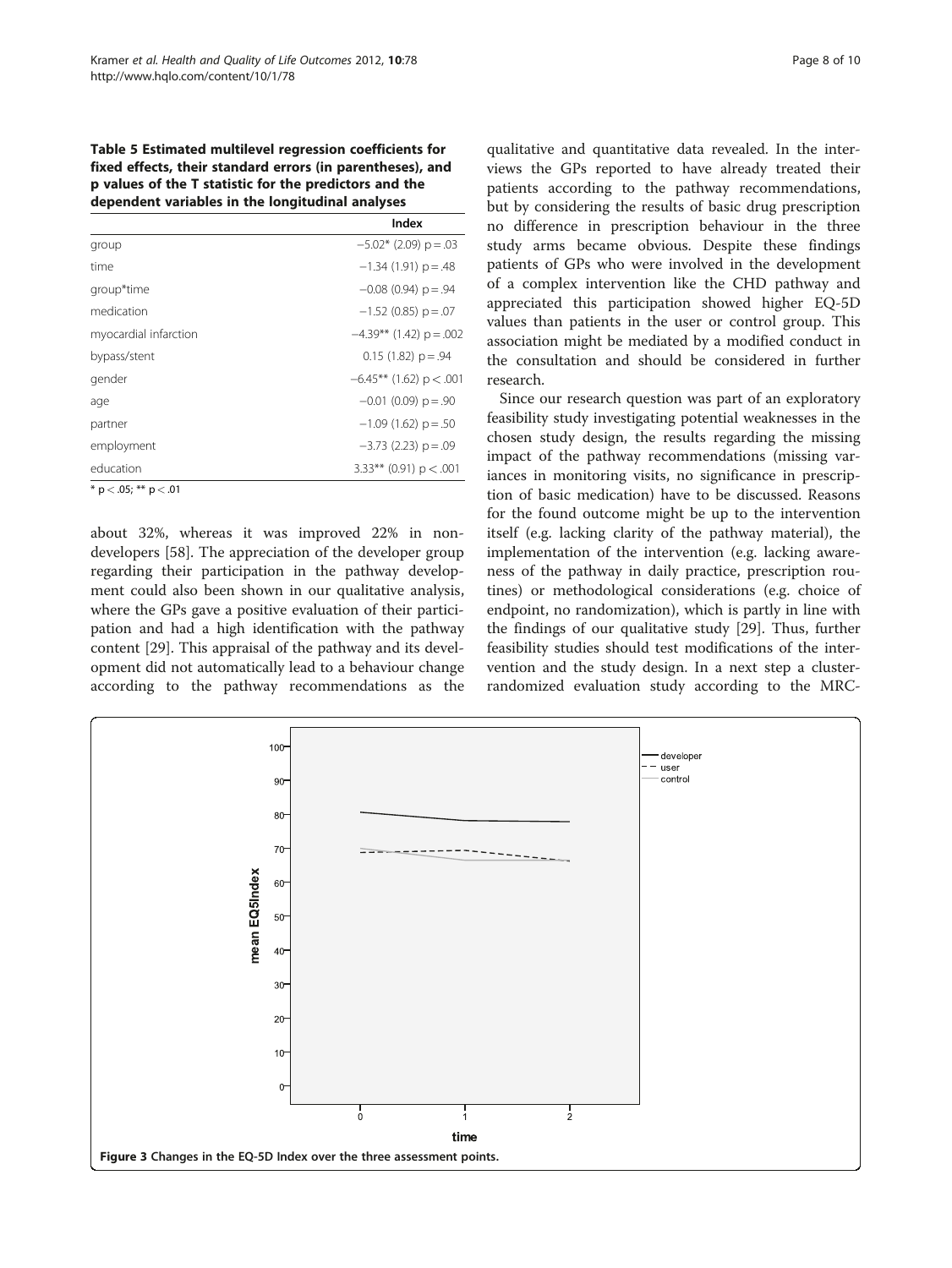<span id="page-7-0"></span>Table 5 Estimated multilevel regression coefficients for fixed effects, their standard errors (in parentheses), and p values of the T statistic for the predictors and the dependent variables in the longitudinal analyses

|                             | Index                       |
|-----------------------------|-----------------------------|
| group                       | $-5.02$ * (2.09) p = .03    |
| time                        | $-1.34$ (1.91) $p = .48$    |
| group*time                  | $-0.08$ (0.94) $p = .94$    |
| medication                  | $-1.52$ (0.85) $p = .07$    |
| myocardial infarction       | $-4.39**$ (1.42) $p = .002$ |
| bypass/stent                | $0.15(1.82) p = .94$        |
| gender                      | $-6.45**$ (1.62) $p < .001$ |
| age                         | $-0.01$ (0.09) $p = .90$    |
| partner                     | $-1.09$ (1.62) $p = .50$    |
| employment                  | $-3.73$ (2.23) $p = .09$    |
| education                   | $3.33***$ (0.91) $p < .001$ |
| $*$ p $<$ .05; ** p $<$ .01 |                             |

about 32%, whereas it was improved 22% in nondevelopers [\[58](#page-9-0)]. The appreciation of the developer group regarding their participation in the pathway development could also been shown in our qualitative analysis, where the GPs gave a positive evaluation of their participation and had a high identification with the pathway content [[29\]](#page-9-0). This appraisal of the pathway and its development did not automatically lead to a behaviour change according to the pathway recommendations as the

qualitative and quantitative data revealed. In the interviews the GPs reported to have already treated their patients according to the pathway recommendations, but by considering the results of basic drug prescription no difference in prescription behaviour in the three study arms became obvious. Despite these findings patients of GPs who were involved in the development of a complex intervention like the CHD pathway and appreciated this participation showed higher EQ-5D values than patients in the user or control group. This association might be mediated by a modified conduct in the consultation and should be considered in further research.

Since our research question was part of an exploratory feasibility study investigating potential weaknesses in the chosen study design, the results regarding the missing impact of the pathway recommendations (missing variances in monitoring visits, no significance in prescription of basic medication) have to be discussed. Reasons for the found outcome might be up to the intervention itself (e.g. lacking clarity of the pathway material), the implementation of the intervention (e.g. lacking awareness of the pathway in daily practice, prescription routines) or methodological considerations (e.g. choice of endpoint, no randomization), which is partly in line with the findings of our qualitative study [[29\]](#page-9-0). Thus, further feasibility studies should test modifications of the intervention and the study design. In a next step a clusterrandomized evaluation study according to the MRC-

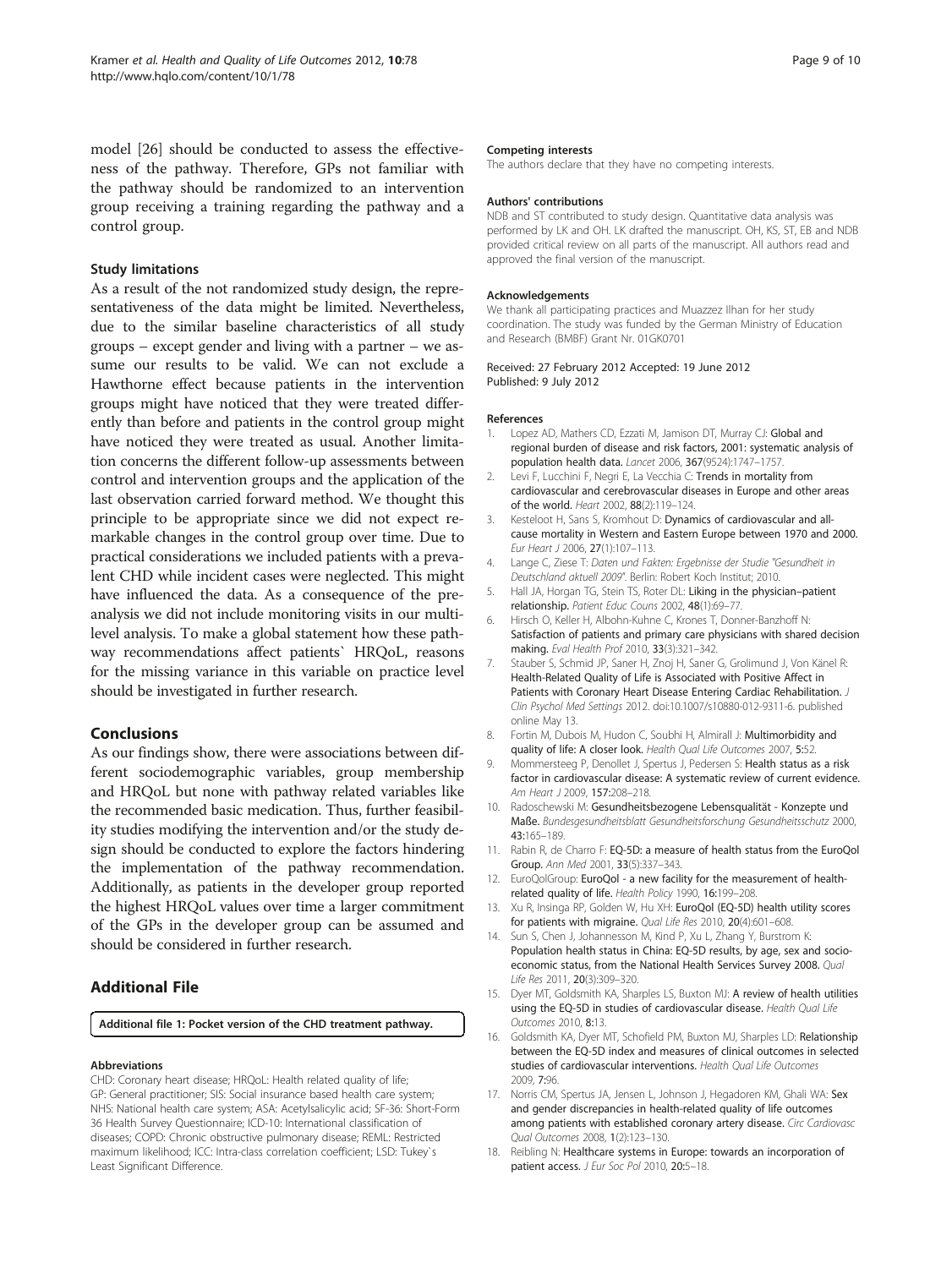<span id="page-8-0"></span>model [\[26\]](#page-9-0) should be conducted to assess the effectiveness of the pathway. Therefore, GPs not familiar with the pathway should be randomized to an intervention group receiving a training regarding the pathway and a control group.

#### Study limitations

As a result of the not randomized study design, the representativeness of the data might be limited. Nevertheless, due to the similar baseline characteristics of all study groups – except gender and living with a partner – we assume our results to be valid. We can not exclude a Hawthorne effect because patients in the intervention groups might have noticed that they were treated differently than before and patients in the control group might have noticed they were treated as usual. Another limitation concerns the different follow-up assessments between control and intervention groups and the application of the last observation carried forward method. We thought this principle to be appropriate since we did not expect remarkable changes in the control group over time. Due to practical considerations we included patients with a prevalent CHD while incident cases were neglected. This might have influenced the data. As a consequence of the preanalysis we did not include monitoring visits in our multilevel analysis. To make a global statement how these pathway recommendations affect patients` HRQoL, reasons for the missing variance in this variable on practice level should be investigated in further research.

#### Conclusions

As our findings show, there were associations between different sociodemographic variables, group membership and HRQoL but none with pathway related variables like the recommended basic medication. Thus, further feasibility studies modifying the intervention and/or the study design should be conducted to explore the factors hindering the implementation of the pathway recommendation. Additionally, as patients in the developer group reported the highest HRQoL values over time a larger commitment of the GPs in the developer group can be assumed and should be considered in further research.

## Additional File

[Additional file 1](http://www.biomedcentral.com/content/supplementary/1477-7525-10-78-S1.pdf): Pocket version of the CHD treatment pathway.

#### Abbreviations

CHD: Coronary heart disease; HRQoL: Health related quality of life; GP: General practitioner; SIS: Social insurance based health care system; NHS: National health care system; ASA: Acetylsalicylic acid; SF-36: Short-Form 36 Health Survey Questionnaire; ICD-10: International classification of diseases; COPD: Chronic obstructive pulmonary disease; REML: Restricted maximum likelihood; ICC: Intra-class correlation coefficient; LSD: Tukey`s Least Significant Difference.

#### Competing interests

The authors declare that they have no competing interests.

#### Authors' contributions

NDB and ST contributed to study design. Quantitative data analysis was performed by LK and OH. LK drafted the manuscript. OH, KS, ST, EB and NDB provided critical review on all parts of the manuscript. All authors read and approved the final version of the manuscript.

#### Acknowledgements

We thank all participating practices and Muazzez Ilhan for her study coordination. The study was funded by the German Ministry of Education and Research (BMBF) Grant Nr. 01GK0701

#### Received: 27 February 2012 Accepted: 19 June 2012 Published: 9 July 2012

#### References

- 1. Lopez AD, Mathers CD, Ezzati M, Jamison DT, Murray CJ: Global and regional burden of disease and risk factors, 2001: systematic analysis of population health data. Lancet 2006, 367(9524):1747–1757.
- 2. Levi F, Lucchini F, Negri E, La Vecchia C: Trends in mortality from cardiovascular and cerebrovascular diseases in Europe and other areas of the world. Heart 2002, 88(2):119–124.
- 3. Kesteloot H, Sans S, Kromhout D: Dynamics of cardiovascular and allcause mortality in Western and Eastern Europe between 1970 and 2000. Eur Heart J 2006, 27(1):107–113.
- 4. Lange C, Ziese T: Daten und Fakten: Ergebnisse der Studie "Gesundheit in Deutschland aktuell 2009". Berlin: Robert Koch Institut; 2010.
- 5. Hall JA, Horgan TG, Stein TS, Roter DL: Liking in the physician–patient relationship. Patient Educ Couns 2002, 48(1):69–77.
- 6. Hirsch O, Keller H, Albohn-Kuhne C, Krones T, Donner-Banzhoff N: Satisfaction of patients and primary care physicians with shared decision making. Eval Health Prof 2010, 33(3):321–342.
- 7. Stauber S, Schmid JP, Saner H, Znoj H, Saner G, Grolimund J, Von Känel R: Health-Related Quality of Life is Associated with Positive Affect in Patients with Coronary Heart Disease Entering Cardiac Rehabilitation. J Clin Psychol Med Settings 2012. doi[:10.1007/s10880-012-9311-6](http://dx.doi.org/10.1007/s10880-012-9311-6). published online May 13.
- Fortin M, Dubois M, Hudon C, Soubhi H, Almirall J: Multimorbidity and quality of life: A closer look. Health Qual Life Outcomes 2007, 5:52.
- 9. Mommersteeg P, Denollet J, Spertus J, Pedersen S: Health status as a risk factor in cardiovascular disease: A systematic review of current evidence. Am Heart J 2009, 157:208–218.
- 10. Radoschewski M: Gesundheitsbezogene Lebensqualität Konzepte und Maße. Bundesgesundheitsblatt Gesundheitsforschung Gesundheitsschutz 2000, 43:165–189.
- 11. Rabin R, de Charro F: EQ-5D: a measure of health status from the EuroQol Group. Ann Med 2001, 33(5):337–343.
- 12. EuroQolGroup: EuroQol a new facility for the measurement of healthrelated quality of life. Health Policy 1990, 16:199–208.
- 13. Xu R, Insinga RP, Golden W, Hu XH: EuroQol (EQ-5D) health utility scores for patients with migraine. Qual Life Res 2010, 20(4):601–608.
- 14. Sun S, Chen J, Johannesson M, Kind P, Xu L, Zhang Y, Burstrom K: Population health status in China: EQ-5D results, by age, sex and socioeconomic status, from the National Health Services Survey 2008. Qual Life Res 2011, 20(3):309-320.
- 15. Dyer MT, Goldsmith KA, Sharples LS, Buxton MJ: A review of health utilities using the EQ-5D in studies of cardiovascular disease. Health Qual Life Outcomes 2010, 8:13.
- 16. Goldsmith KA, Dyer MT, Schofield PM, Buxton MJ, Sharples LD: Relationship between the EQ-5D index and measures of clinical outcomes in selected studies of cardiovascular interventions. Health Qual Life Outcomes 2009, 7:96.
- 17. Norris CM, Spertus JA, Jensen L, Johnson J, Hegadoren KM, Ghali WA: Sex and gender discrepancies in health-related quality of life outcomes among patients with established coronary artery disease. Circ Cardiovasc Qual Outcomes 2008, 1(2):123–130.
- 18. Reibling N: Healthcare systems in Europe: towards an incorporation of patient access. J Eur Soc Pol 2010, 20:5-18.